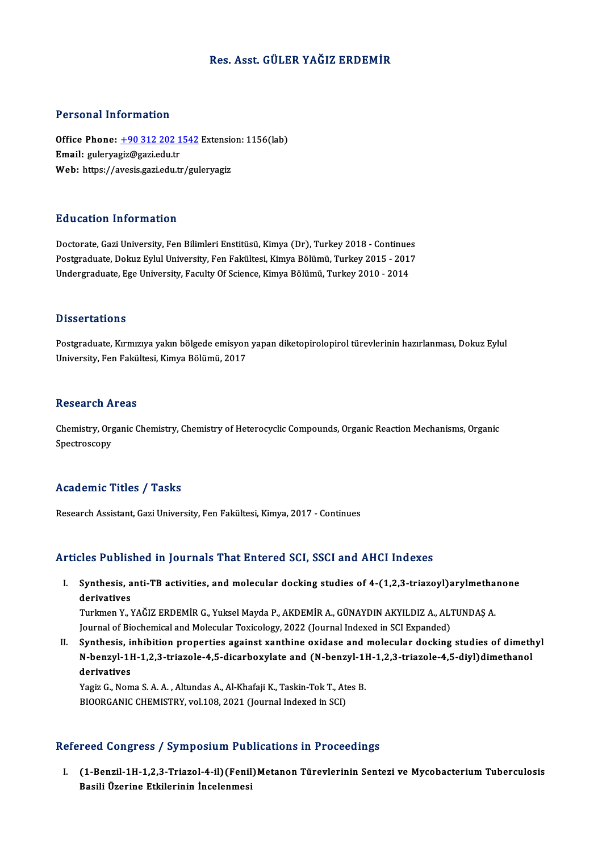# Res. Asst. GÜLER YAĞIZ ERDEMİR

## Personal Information

Personal Information<br>Office Phone: <u>+90 312 202 1542</u> Extension: 1156(lab)<br>Email: guloryagiz@gari.edu.tr 1 STSSMATHISTMARISH<br>Office Phone: <u>+90 312 202 1</u><br>Email: gulerya[giz@gazi.edu.tr](tel:+90 312 202 1542) Office Phone: <u>+90 312 202 1542</u> Extensic<br>Email: guleryagiz@gazi.edu.tr<br>Web: https://avesis.gazi.edu.tr/guleryagiz Web: https://avesis.gazi.edu.tr/guleryagiz<br>Education Information

Doctorate, Gazi University, Fen Bilimleri Enstitüsü, Kimya (Dr), Turkey 2018 - Continues Pu u sutron "Informuation"<br>Doctorate, Gazi University, Fen Bilimleri Enstitüsü, Kimya (Dr), Turkey 2018 - Continues<br>Postgraduate, Dokuz Eylul University, Fen Fakültesi, Kimya Bölümü, Turkey 2015 - 2017<br>Undergraduate, Ege U Doctorate, Gazi University, Fen Bilimleri Enstitüsü, Kimya (Dr), Turkey 2018 - Continue:<br>Postgraduate, Dokuz Eylul University, Fen Fakültesi, Kimya Bölümü, Turkey 2015 - 201'<br>Undergraduate, Ege University, Faculty Of Scien Undergraduate, Ege University, Faculty Of Science, Kimya Bölümü, Turkey 2010 - 2014<br>Dissertations

Postgraduate, Kırmızıya yakın bölgede emisyon yapan diketopirolopirol türevlerinin hazırlanması, Dokuz Eylul University, Fen Fakültesi, Kimya Bölümü, 2017

#### **Research Areas**

Research Areas<br>Chemistry, Organic Chemistry, Chemistry of Heterocyclic Compounds, Organic Reaction Mechanisms, Organic<br>Spectrosseny nessear en 11<br>Chemistry, Org<br>Spectroscopy

# Spectroscopy<br>Academic Titles / Tasks

Research Assistant, Gazi University, Fen Fakültesi, Kimya, 2017 - Continues

## Articles Published in Journals That Entered SCI, SSCI and AHCI Indexes

rticles Published in Journals That Entered SCI, SSCI and AHCI Indexes<br>I. Synthesis, anti-TB activities, and molecular docking studies of 4-(1,2,3-triazoyl)arylmethanone stes 1 abris<br>Synthesis, a<br>Turkmon Y Synthesis, anti-TB activities, and molecular docking studies of 4-(1,2,3-triazoyl)arylmetha<br>derivatives<br>Turkmen Y., YAĞIZ ERDEMİR G., Yuksel Mayda P., AKDEMİR A., GÜNAYDIN AKYILDIZ A., ALTUNDAŞ A.<br>Journal of Biochamical an

derivatives<br>Turkmen Y., YAĞIZ ERDEMİR G., Yuksel Mayda P., AKDEMİR A., GÜNAYDIN AKYILDIZ A., ALTUNDAŞ A.<br>Journal of Biochemical and Molecular Toxicology, 2022 (Journal Indexed in SCI Expanded)

II. Synthesis, inhibition properties against xanthine oxidase and molecular docking studies of dimethyl Journal of Biochemical and Molecular Toxicology, 2022 (Journal Indexed in SCI Expanded)<br>Synthesis, inhibition properties against xanthine oxidase and molecular docking studies of dimeth<br>N-benzyl-1H-1,2,3-triazole-4,5-dicar Synthesis, il<br>N-benzyl-11<br>derivatives<br><sup>Vogig</sup> C. Nom N-benzyl-1H-1,2,3-triazole-4,5-dicarboxylate and (N-benzyl-11<br>derivatives<br>Yagiz G., Noma S. A. A. , Altundas A., Al-Khafaji K., Taskin-Tok T., Ates B.<br>BIOOBCANIC CHEMISTRY, vol.108, 2021 (Journal Indoved in SCL)

derivatives<br>Yagiz G., Noma S. A. A. , Altundas A., Al-Khafaji K., Taskin-Tok T., Ates B.<br>BIOORGANIC CHEMISTRY, vol.108, 2021 (Journal Indexed in SCI)

#### Refereed Congress / Symposium Publications in Proceedings

efereed Congress / Symposium Publications in Proceedings<br>I. (1-Benzil-1H-1,2,3-Triazol-4-il)(Fenil)Metanon Türevlerinin Sentezi ve Mycobacterium Tuberculosis<br>Resili Üzerine Etkilorinin İnselenmesi 1999 Basili Üzerine Etkilerinin İncelenmesi<br>Basili Üzerine Etkilerinin İncelenmesi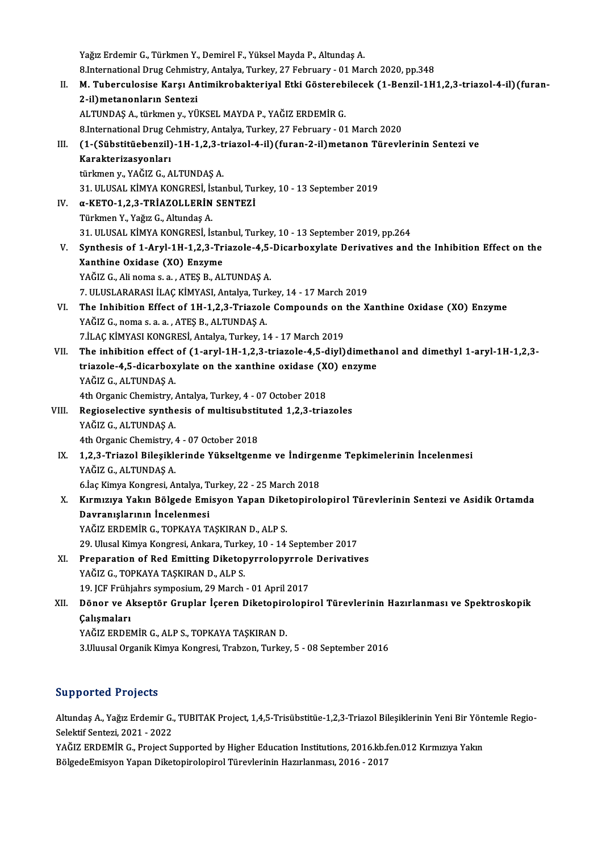Yağız Erdemir G., Türkmen Y., Demirel F., Yüksel Mayda P., Altundaş A. 8.International Drug Cehmistry, Antalya, Turkey, 27 February - 01 March 2020, pp.348 II. M. Tuberculosise Karşı Antimikrobakteriyal Etki Gösterebilecek (1-Benzil-1H1,2,3-triazol-4-il) (furan-2-il)metanonların Sentezi ALTUNDAŞA., türkmeny.,YÜKSELMAYDAP.,YAĞIZ ERDEMİRG. 8.International Drug Cehmistry, Antalya, Turkey, 27 February - 01 March 2020 ALTUNDAŞ A., türkmen y., YÜKSEL MAYDA P., YAĞIZ ERDEMİR G.<br>8.International Drug Cehmistry, Antalya, Turkey, 27 February - 01 March 2020<br>III. (1-(Sübstitüebenzil)-1H-1,2,3-triazol-4-il)(furan-2-il)metanon Türevlerinin Sente 8.International Drug Co<br>(1-(Sübstitüebenzil)<br>Karakterizasyonları<br>türkmen v. YAČIZ C. A (1-(Sübstitüebenzil)-1H-1,2,3-t:<br>Karakterizasyonları<br>türkmen y., YAĞIZ G., ALTUNDAŞ A.<br>21. III USAL KİMYA KONCBESİ, İsta Karakterizasyonları<br>türkmen y., YAĞIZ G., ALTUNDAŞ A.<br>31. ULUSAL KİMYA KONGRESİ, İstanbul, Turkey, 10 - 13 September 2019<br>~ KETO 1 2 3. TRİAZOLI ERİN SENTEZİ türkmen y., YAĞIZ G., ALTUNDAŞ A.<br>31. ULUSAL KİMYA KONGRESİ, İstanbul, Tu<br>IV. a-KETO-1,2,3-TRİAZOLLERİN SENTEZİ<br>Türkmen Y., Yağız G., Altundas A. 31. ULUSAL KİMYA KONGRESİ, İs<br>α-**KETO-1,2,3-TRİAZOLLERİN**<br>Türkmen Y., Yağız G., Altundaş A.<br>21. III USAL KİMYA KONGRESİ İs 31. ULUSAL KİMYA KONGRESİ, İstanbul, Turkey, 10 - 13 September 2019, pp.264 Türkmen Y., Yağız G., Altundaş A.<br>31. ULUSAL KİMYA KONGRESİ, İstanbul, Turkey, 10 - 13 September 2019, pp.264<br>V. Synthesis of 1-Aryl-1H-1,2,3-Triazole-4,5-Dicarboxylate Derivatives and the Inhibition Effect on the<br>Yanthine 31. ULUSAL KİMYA KONGRESİ, İstan<br>Synthesis of 1-Aryl-1H-1,2,3-Tr<br>Xanthine Oxidase (XO) Enzyme<br>YAČIZ C. Ali nomas a ATES B. AL Synthesis of 1-Aryl-1H-1,2,3-Triazole-4,5-<br>Xanthine Oxidase (XO) Enzyme<br>YAĞIZ G., Ali noma s. a. , ATEŞ B., ALTUNDAŞ A.<br>7. HUKLARARAŞLİLAŞ KİMYASLAREKSE.Turk Xanthine Oxidase (XO) Enzyme<br>YAĞIZ G., Ali noma s. a. , ATEŞ B., ALTUNDAŞ A.<br>7. ULUSLARARASI İLAÇ KİMYASI, Antalya, Turkey, 14 - 17 March 2019<br>The Inhibition Effect of 1H 1 2 2 Triarale Compounde en the V YAĞIZ G., Ali noma s. a. , ATEŞ B., ALTUNDAŞ A.<br>7. ULUSLARARASI İLAÇ KİMYASI, Antalya, Turkey, 14 - 17 March 2019<br>VI. The Inhibition Effect of 1H-1,2,3-Triazole Compounds on the Xanthine Oxidase (XO) Enzyme<br>YAĞIZ G., n 7. ULUSLARARASI İLAÇ KİMYASI, Antalya, Turk<br>**The Inhibition Effect of 1H-1,2,3-Triazole**<br>YAĞIZ G., noma s. a. a. , ATEŞ B., ALTUNDAŞ A.<br>7 İl AC KİMYASI KONGPESİ, Antalya Turkay 1 7.İLAÇ KİMYASI KONGRESİ, Antalya, Turkey, 14 - 17 March 2019 YAĞIZ G., noma s. a. a. , ATEŞ B., ALTUNDAŞ A.<br>7.İLAÇ KİMYASI KONGRESİ, Antalya, Turkey, 14 - 17 March 2019<br>VII. The inhibition effect of (1-aryl-1H-1,2,3-triazole-4,5-diyl)dimethanol and dimethyl 1-aryl-1H-1,2,3-<br>triazole 7.İLAÇ KİMYASI KONGRESİ, Antalya, Turkey, 14 - 17 March 2019<br>The inhibition effect of (1-aryl-1H-1,2,3-triazole-4,5-diyl)dimeth<br>triazole-4,5-dicarboxylate on the xanthine oxidase (XO) enzyme<br>YAČIZ C. ALTINDAS A triazole-4,5-dicarboxylate on the xanthine oxidase (XO) enzyme YAĞIZ G., ALTUNDAŞ A. triazole-4,5-dicarboxylate on the xanthine oxidase (X)<br>YAĞIZ G., ALTUNDAŞ A.<br>4th Organic Chemistry, Antalya, Turkey, 4 - 07 October 2018<br>Pegiosologiya sunthasis of multisubstituted 1.2.3 tria YAĞIZ G., ALTUNDAŞ A.<br>4th Organic Chemistry, Antalya, Turkey, 4 - 07 October 2018<br>VIII. Regioselective synthesis of multisubstituted 1,2,3-triazoles<br>VAČIZ C. ALTUNDAS A. 4th Organic Chemistry, *1*<br>Regioselective synthe<br>YAĞIZ G., ALTUNDAŞ A.<br>4th Organis Chemistry Regioselective synthesis of multisubstit<br>YAĞIZ G., ALTUNDAŞ A.<br>4th Organic Chemistry, 4 - 07 October 2018<br>1 2 2 Triazel Bilesiklerinde Vükseltsenı YAĞIZ G., ALTUNDAŞ A.<br>4th Organic Chemistry, 4 - 07 October 2018<br>IX. 1,2,3-Triazol Bileşiklerinde Yükseltgenme ve İndirgenme Tepkimelerinin İncelenmesi<br>YAĞIZ G. ALTUNDAS A 4th Organic Chemistry, 4 - 07 October 2018<br>1,2,3-Triazol Bileşiklerinde Yükseltgen<br>YAĞIZ G., ALTUNDAŞ A. 1,2,3-Triazol Bileşiklerinde Yükseltgenme ve İndirge<br>YAĞIZ G., ALTUNDAŞ A.<br>6.İaç Kimya Kongresi, Antalya, Turkey, 22 - 25 March 2018<br>Kumuawa Yakın Bölgede Emisyen Yanan Dikataninalı X. Kırmızıya Yakın Bölgede Emisyon Yapan Diketopirolopirol Türevlerinin Sentezi ve Asidik Ortamda 6.İaç Kimya Kongresi, Antalya, Turkey, 22 - 25 March 2018 YAĞIZ ERDEMİR G., TOPKAYA TAŞKIRAN D., ALP S. 29.UlusalKimyaKongresi,Ankara,Turkey,10 -14 September 2017 YAĞIZ ERDEMİR G., TOPKAYA TAŞKIRAN D., ALP S.<br>29. Ulusal Kimya Kongresi, Ankara, Turkey, 10 - 14 September 2017<br>XI. Preparation of Red Emitting Diketopyrrolopyrrole Derivatives<br>XAĞIZ G. TOPKAYA TAŞKIRAN D. ALR S. 29. Ulusal Kimya Kongresi, Ankara, Turke<br>Preparation of Red Emitting Diketop<br>YAĞIZ G., TOPKAYA TAŞKIRAN D., ALP S.<br>10. ICE Erübiahne sumnesium, 20 Marsh. Preparation of Red Emitting Diketopyrrolopyrrole<br>YAĞIZ G., TOPKAYA TAŞKIRAN D., ALP S.<br>19. JCF Frühjahrs symposium, 29 March - 01 April 2017<br>Döner ve Aksentör Crupler İseren Dikatenireleni YAĞIZ G., TOPKAYA TAŞKIRAN D., ALP S.<br>19. JCF Frühjahrs symposium, 29 March - 01 April 2017<br>XII. Dönor ve Akseptör Gruplar İçeren Diketopirolopirol Türevlerinin Hazırlanması ve Spektroskopik<br>Celismaları 19. JCF Frühj<br>Dönor ve A<br>Çalışmaları<br>v^č17 EPDE! Dönor ve Akseptör Gruplar İçeren Diketopiro<br>Çalışmaları<br>YAĞIZ ERDEMİR G., ALP S., TOPKAYA TAŞKIRAN D.<br><sup>2 Hluusal Organik Kimya Kongresi Trahzon Turkay</sup> Çalışmaları<br>YAĞIZ ERDEMİR G., ALP S., TOPKAYA TAŞKIRAN D.<br>3.Uluusal Organik Kimya Kongresi, Trabzon, Turkey, 5 - 08 September 2016

# Supported Projects

**Supported Projects**<br>Altundaş A., Yağız Erdemir G., TUBITAK Project, 1,4,5-Trisübstitüe-1,2,3-Triazol Bileşiklerinin Yeni Bir Yöntemle Regio-<br>Selektif Senteri, 2021, ...2022 Supportou i rojoces<br>Altundaș A., Yağız Erdemir G.,<br>Selektif Sentezi, 2021 - 2022<br>YAĞIZ ERREMİR G., Project S Altundaş A., Yağız Erdemir G., TUBITAK Project, 1,4,5-Trisübstitüe-1,2,3-Triazol Bileşiklerinin Yeni Bir Yön<br>Selektif Sentezi, 2021 - 2022<br>YAĞIZ ERDEMİR G., Project Supported by Higher Education Institutions, 2016.kb.fen.0

Selektif Sentezi, 2021 - 2022<br>YAĞIZ ERDEMİR G., Project Supported by Higher Education Institutions, 2016.kb.fe<br>BölgedeEmisyon Yapan Diketopirolopirol Türevlerinin Hazırlanması, 2016 - 2017